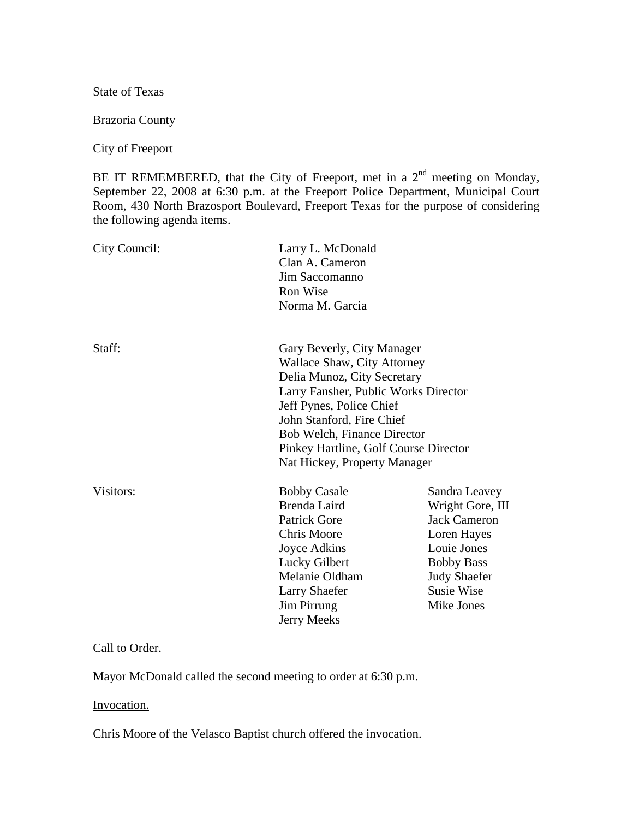State of Texas

Brazoria County

City of Freeport

BE IT REMEMBERED, that the City of Freeport, met in a  $2<sup>nd</sup>$  meeting on Monday, September 22, 2008 at 6:30 p.m. at the Freeport Police Department, Municipal Court Room, 430 North Brazosport Boulevard, Freeport Texas for the purpose of considering the following agenda items.

| City Council: | Larry L. McDonald<br>Clan A. Cameron<br>Jim Saccomanno<br>Ron Wise<br>Norma M. Garcia                                                                                                                                                                                                                    |                                                                                                                                                                       |
|---------------|----------------------------------------------------------------------------------------------------------------------------------------------------------------------------------------------------------------------------------------------------------------------------------------------------------|-----------------------------------------------------------------------------------------------------------------------------------------------------------------------|
| Staff:        | Gary Beverly, City Manager<br><b>Wallace Shaw, City Attorney</b><br>Delia Munoz, City Secretary<br>Larry Fansher, Public Works Director<br>Jeff Pynes, Police Chief<br>John Stanford, Fire Chief<br>Bob Welch, Finance Director<br>Pinkey Hartline, Golf Course Director<br>Nat Hickey, Property Manager |                                                                                                                                                                       |
| Visitors:     | <b>Bobby Casale</b><br>Brenda Laird<br><b>Patrick Gore</b><br><b>Chris Moore</b><br>Joyce Adkins<br>Lucky Gilbert<br>Melanie Oldham<br><b>Larry Shaefer</b><br>Jim Pirrung<br>Jerry Meeks                                                                                                                | Sandra Leavey<br>Wright Gore, III<br><b>Jack Cameron</b><br>Loren Hayes<br>Louie Jones<br><b>Bobby Bass</b><br><b>Judy Shaefer</b><br><b>Susie Wise</b><br>Mike Jones |

## Call to Order.

Mayor McDonald called the second meeting to order at 6:30 p.m.

#### Invocation.

Chris Moore of the Velasco Baptist church offered the invocation.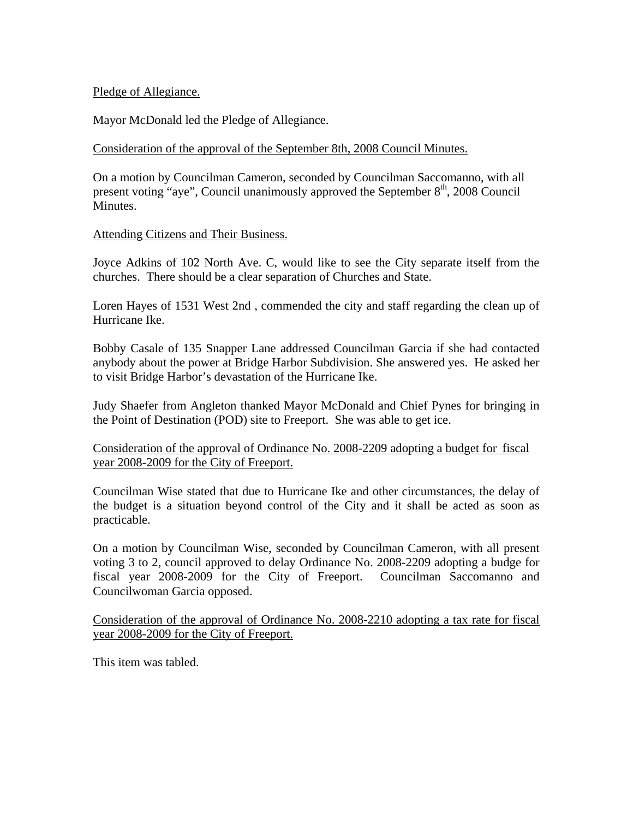# Pledge of Allegiance.

Mayor McDonald led the Pledge of Allegiance.

## Consideration of the approval of the September 8th, 2008 Council Minutes.

On a motion by Councilman Cameron, seconded by Councilman Saccomanno, with all present voting "aye", Council unanimously approved the September 8<sup>th</sup>, 2008 Council Minutes.

## Attending Citizens and Their Business.

Joyce Adkins of 102 North Ave. C, would like to see the City separate itself from the churches. There should be a clear separation of Churches and State.

Loren Hayes of 1531 West 2nd , commended the city and staff regarding the clean up of Hurricane Ike.

Bobby Casale of 135 Snapper Lane addressed Councilman Garcia if she had contacted anybody about the power at Bridge Harbor Subdivision. She answered yes. He asked her to visit Bridge Harbor's devastation of the Hurricane Ike.

Judy Shaefer from Angleton thanked Mayor McDonald and Chief Pynes for bringing in the Point of Destination (POD) site to Freeport. She was able to get ice.

Consideration of the approval of Ordinance No. 2008-2209 adopting a budget for fiscal year 2008-2009 for the City of Freeport.

Councilman Wise stated that due to Hurricane Ike and other circumstances, the delay of the budget is a situation beyond control of the City and it shall be acted as soon as practicable.

On a motion by Councilman Wise, seconded by Councilman Cameron, with all present voting 3 to 2, council approved to delay Ordinance No. 2008-2209 adopting a budge for fiscal year 2008-2009 for the City of Freeport. Councilman Saccomanno and Councilwoman Garcia opposed.

Consideration of the approval of Ordinance No. 2008-2210 adopting a tax rate for fiscal year 2008-2009 for the City of Freeport.

This item was tabled.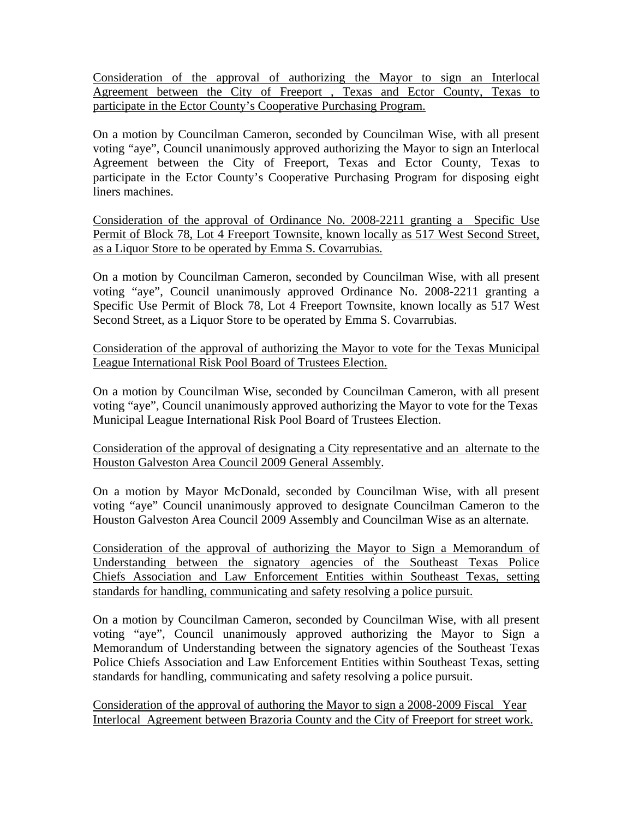Consideration of the approval of authorizing the Mayor to sign an Interlocal Agreement between the City of Freeport , Texas and Ector County, Texas to participate in the Ector County's Cooperative Purchasing Program.

On a motion by Councilman Cameron, seconded by Councilman Wise, with all present voting "aye", Council unanimously approved authorizing the Mayor to sign an Interlocal Agreement between the City of Freeport, Texas and Ector County, Texas to participate in the Ector County's Cooperative Purchasing Program for disposing eight liners machines.

Consideration of the approval of Ordinance No. 2008-2211 granting a Specific Use Permit of Block 78, Lot 4 Freeport Townsite, known locally as 517 West Second Street, as a Liquor Store to be operated by Emma S. Covarrubias.

On a motion by Councilman Cameron, seconded by Councilman Wise, with all present voting "aye", Council unanimously approved Ordinance No. 2008-2211 granting a Specific Use Permit of Block 78, Lot 4 Freeport Townsite, known locally as 517 West Second Street, as a Liquor Store to be operated by Emma S. Covarrubias.

Consideration of the approval of authorizing the Mayor to vote for the Texas Municipal League International Risk Pool Board of Trustees Election.

On a motion by Councilman Wise, seconded by Councilman Cameron, with all present voting "aye", Council unanimously approved authorizing the Mayor to vote for the Texas Municipal League International Risk Pool Board of Trustees Election.

Consideration of the approval of designating a City representative and an alternate to the Houston Galveston Area Council 2009 General Assembly.

On a motion by Mayor McDonald, seconded by Councilman Wise, with all present voting "aye" Council unanimously approved to designate Councilman Cameron to the Houston Galveston Area Council 2009 Assembly and Councilman Wise as an alternate.

Consideration of the approval of authorizing the Mayor to Sign a Memorandum of Understanding between the signatory agencies of the Southeast Texas Police Chiefs Association and Law Enforcement Entities within Southeast Texas, setting standards for handling, communicating and safety resolving a police pursuit.

On a motion by Councilman Cameron, seconded by Councilman Wise, with all present voting "aye", Council unanimously approved authorizing the Mayor to Sign a Memorandum of Understanding between the signatory agencies of the Southeast Texas Police Chiefs Association and Law Enforcement Entities within Southeast Texas, setting standards for handling, communicating and safety resolving a police pursuit.

Consideration of the approval of authoring the Mayor to sign a 2008-2009 Fiscal Year Interlocal Agreement between Brazoria County and the City of Freeport for street work.